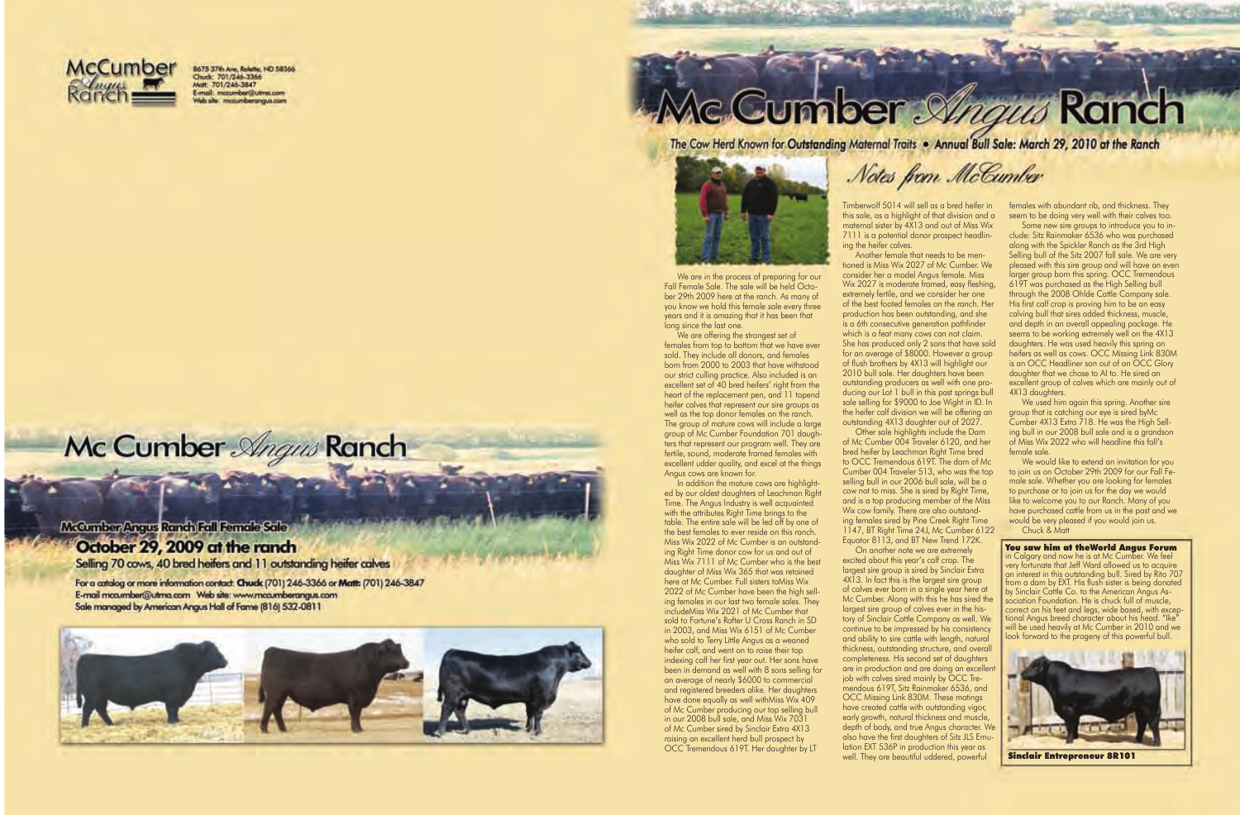

8675 37th Ave, Rolette, ND 58366<br>Chuck: 701/246-3366 haft: 701/246-3847 mail: mccumber@utma.com motumberangus com

## **Cumber Straus Ranch**

The Cow Herd Known for Outstanding Maternal Traits . Annual Bull Sale: March 29, 2010 at the Ranch



We are in the process of preparing for our Fall Female Sale. The sale will be held October 29th 2009 here at the ranch. As many of you know we hold this female sale every three years and it is amazing that it has been that long since the last one.

We are offering the strongest set of females from top to bottom that we have ever sold. They include all donors, and females born from 2000 to 2003 that have withstood our strict culling practice. Also included is an excellent set of 40 bred heifers' right from the heart of the replacement pen, and 11 topend heifer calves that represent our sire groups as well as the top donor females on the ranch. The group of mature cows will include a large group of Mc Cumber Foundation 701 daughters that represent our program well. They are fertile, sound, moderate framed females with excellent udder quality, and excel at the things Angus cows are known for.

In addition the mature cows are highlighted by our oldest daughters of Leachman Right Time. The Angus Industry is well acquainted with the attributes Right Time brings to the table. The entire sale will be led off by one of the best females to ever reside on this ranch. Miss Wix 2022 of Mc Cumber is an outstanding Right Time donor cow for us and out of Miss Wix 7111 of Mc Cumber who is the best daughter of Miss Wix 365 that was retained here at Mc Cumber. Full sisters toMiss Wix 2022 of Mc Cumber have been the high selling females in our last two female sales. They includeMiss Wix 2021 of Mc Cumber that sold to Fortune's Rafter U Cross Ranch in SD in 2003, and Miss Wix 6151 of Mc Cumber who sold to Terry Little Angus as a weaned heifer calf, and went on to raise their top indexing calf her first year out. Her sons have been in demand as well with 8 sons selling for an average of nearly \$6000 to commercial and registered breeders alike. Her daughters have done equally as well withMiss Wix 409 of Mc Cumber producing our top selling bull in our 2008 bull sale, and Miss Wix 7031 of Mc Cumber sired by Sinclair Extra 4X13 raising an excellent herd bull prospect by OCC Tremendous 619T. Her daughter by LT

Timberwolf 5014 will sell as a bred heifer in this sale, as a highlight of that division and a maternal sister by 4X13 and out of Miss Wix 7111 is a potential donor prospect headlin-

ing the heifer calves.

Another female that needs to be mentioned is Miss Wix 2027 of Mc Cumber. We consider her a model Angus female. Miss Wix 2027 is moderate framed, easy fleshing, extremely fertile, and we consider her one of the best footed females on the ranch. Her production has been outstanding, and she is a 6th consecutive generation pathfinder which is a feat many cows can not claim. She has produced only 2 sons that have sold for an average of \$8000. However a group of flush brothers by 4X13 will highlight our 2010 bull sale. Her daughters have been outstanding producers as well with one producing our Lot 1 bull in this past springs bull sale selling for \$9000 to Joe Wight in ID. In the heifer calf division we will be offering an outstanding 4X13 daughter out of 2027. Other sale highlights include the Dam of Mc Cumber 004 Traveler 6120, and her bred heifer by Leachman Right Time bred to OCC Tremendous 619T. The dam of Mc Cumber 004 Traveler 513, who was the top selling bull in our 2006 bull sale, will be a cow not to miss. She is sired by Right Time, and is a top producing member of the Miss Wix cow family. There are also outstanding females sired by Pine Creek Right Time 1147, BT Right Time 24J, Mc Cumber 6122 Equator 8113, and BT New Trend 172K. On another note we are extremely excited about this year's calf crop. The largest sire group is sired by Sinclair Extra 4X13. In fact this is the largest sire group of calves ever born in a single year here at Mc Cumber. Along with this he has sired the largest sire group of calves ever in the history of Sinclair Cattle Company as well. We continue to be impressed by his consistency and ability to sire cattle with length, natural thickness, outstanding structure, and overall completeness. His second set of daughters are in production and are doing an excellent job with calves sired mainly by OCC Tremendous 619T, Sitz Rainmaker 6536, and OCC Missing Link 830M. These matings have created cattle with outstanding vigor, early growth, natural thickness and muscle, depth of body, and true Angus character. We also have the first daughters of Sitz JLS Emulation EXT 536P in production this year as well. They are beautiful uddered, powerful

## Mc Cumber Angus Ranch

McCumber/Angus Ranch Fall Female Sale October 29, 2009 at the ranch Selling 70 cows, 40 bred heifers and 11 outstanding heifer calves

For a catalog or more information contact: Chuck (701) 246-3366 or Matt: (701) 246-3847

E-mail mca.mber@utma.com Web site: www.mca.mberangus.com Sale managed by American Angus Hall of Fame (816) 532-0811



Notes from McCumber

females with abundant rib, and thickness. They seem to be doing very well with their calves too.

Some new sire groups to introduce you to include: Sitz Rainmaker 6536 who was purchased along with the Spickler Ranch as the 3rd High Selling bull of the Sitz 2007 fall sale. We are very pleased with this sire group and will have an even larger group born this spring. OCC Tremendous 619T was purchased as the High Selling bull through the 2008 Ohlde Cattle Company sale. His first calf crop is proving him to be an easy calving bull that sires added thickness, muscle, and depth in an overall appealing package. He seems to be working extremely well on the 4X13 daughters. He was used heavily this spring on heifers as well as cows. OCC Missing Link 830M is an OCC Headliner son out of an OCC Glory daughter that we chose to AI to. He sired an excellent group of calves which are mainly out of 4X13 daughters.

We used him again this spring. Another sire group that is catching our eye is sired byMc Cumber 4X13 Extra 718. He was the High Selling bull in our 2008 bull sale and is a grandson of Miss Wix 2022 who will headline this fall's female sale.

We would like to extend an invitation for you to join us on October 29th 2009 for our Fall Female sale. Whether you are looking for females to purchase or to join us for the day we would like to welcome you to our Ranch. Many of you have purchased cattle from us in the past and we would be very pleased if you would join us. Chuck & Matt

You saw him at theWorld Angus Forum in Calgary and now he is at Mc Cumber. We feel very fortunate that Jeff Ward allowed us to acquire an interest in this outstanding bull. Sired by Rito 707 from a dam by EXT. His flush sister is being donated by Sinclair Cattle Co. to the American Angus Association Foundation. He is chuck full of muscle, correct on his feet and legs, wide based, with exceptional Angus breed character about his head. "Ike" will be used heavily at Mc Cumber in 2010 and we look forward to the progeny of this powerful bull.